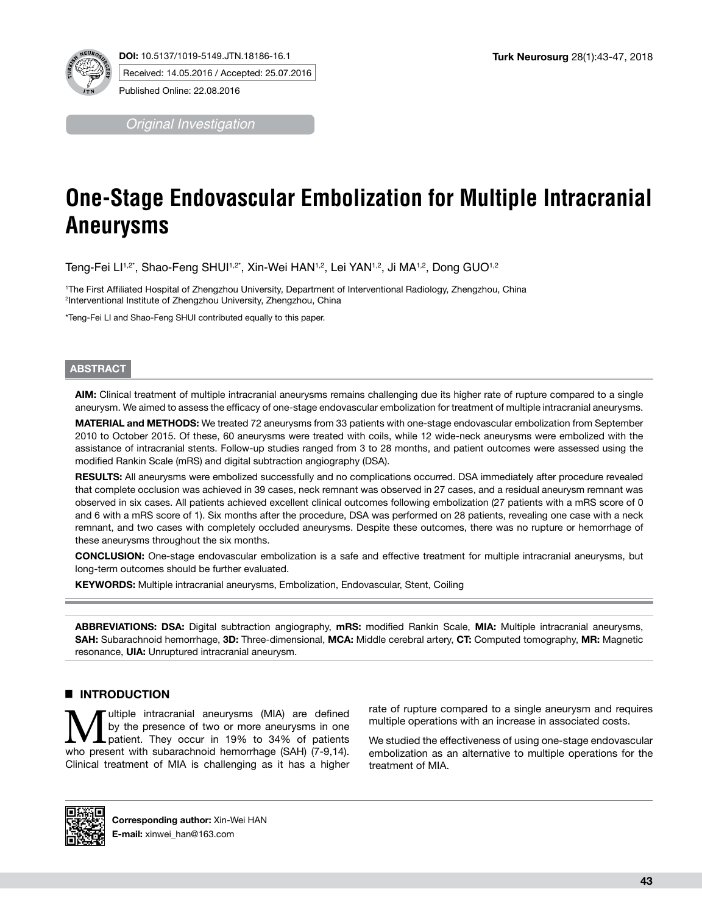*Original Investigation*

# **One-Stage Endovascular Embolization for Multiple Intracranial Aneurysms**

Teng-Fei Ll<sup>1,2\*</sup>, Shao-Feng SHUl<sup>1,2\*</sup>, Xin-Wei HAN<sup>1,2</sup>, Lei YAN<sup>1,2</sup>, Ji MA<sup>1,2</sup>, Dong GUO<sup>1,2</sup>

1 The First Affiliated Hospital of Zhengzhou University, Department of Interventional Radiology, Zhengzhou, China 2 Interventional Institute of Zhengzhou University, Zhengzhou, China

\*Teng-Fei LI and Shao-Feng SHUI contributed equally to this paper.

## **ABSTRACT**

**AIm:** Clinical treatment of multiple intracranial aneurysms remains challenging due its higher rate of rupture compared to a single aneurysm. We aimed to assess the efficacy of one-stage endovascular embolization for treatment of multiple intracranial aneurysms.

**MaterIal and Methods:** We treated 72 aneurysms from 33 patients with one-stage endovascular embolization from September 2010 to October 2015. Of these, 60 aneurysms were treated with coils, while 12 wide-neck aneurysms were embolized with the assistance of intracranial stents. Follow-up studies ranged from 3 to 28 months, and patient outcomes were assessed using the modified Rankin Scale (mRS) and digital subtraction angiography (DSA).

RESULTS: All aneurysms were embolized successfully and no complications occurred. DSA immediately after procedure revealed that complete occlusion was achieved in 39 cases, neck remnant was observed in 27 cases, and a residual aneurysm remnant was observed in six cases. All patients achieved excellent clinical outcomes following embolization (27 patients with a mRS score of 0 and 6 with a mRS score of 1). Six months after the procedure, DSA was performed on 28 patients, revealing one case with a neck remnant, and two cases with completely occluded aneurysms. Despite these outcomes, there was no rupture or hemorrhage of these aneurysms throughout the six months.

**ConclusIon:** One-stage endovascular embolization is a safe and effective treatment for multiple intracranial aneurysms, but long-term outcomes should be further evaluated.

**KEYWORDS:** Multiple intracranial aneurysms, Embolization, Endovascular, Stent, Coiling

**Abbrevıatıons: DSA:** Digital subtraction angiography, **mRS:** modified Rankin Scale, **MIA:** Multiple intracranial aneurysms, **SAH:** Subarachnoid hemorrhage, **3D:** Three-dimensional, **MCA:** Middle cerebral artery, **CT:** Computed tomography, **MR:** Magnetic resonance, **UIA:** Unruptured intracranial aneurysm.

# █ **Introduction**

**Multiple intracranial aneurysms (MIA) are defined** by the presence of two or more aneurysms in one patient. They occur in 19% to 34% of patients by the presence of two or more aneurysms in one who present with subarachnoid hemorrhage (SAH) (7-9,14). Clinical treatment of MIA is challenging as it has a higher rate of rupture compared to a single aneurysm and requires multiple operations with an increase in associated costs.

We studied the effectiveness of using one-stage endovascular embolization as an alternative to multiple operations for the treatment of MIA.

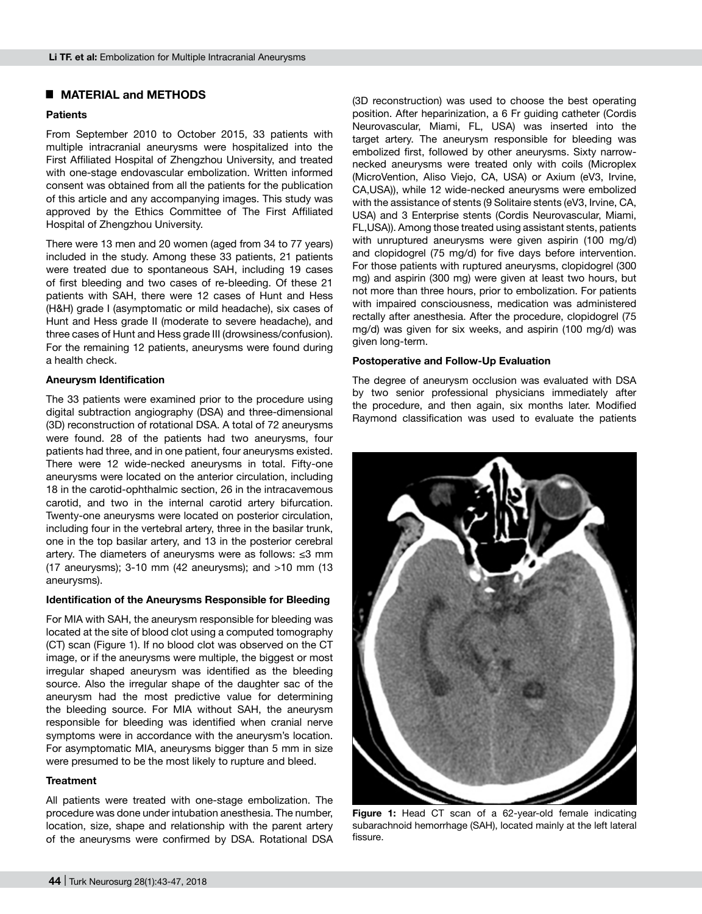# █ **MATERIAL and METHODS**

## **Patients**

From September 2010 to October 2015, 33 patients with multiple intracranial aneurysms were hospitalized into the First Affiliated Hospital of Zhengzhou University, and treated with one-stage endovascular embolization. Written informed consent was obtained from all the patients for the publication of this article and any accompanying images. This study was approved by the Ethics Committee of The First Affiliated Hospital of Zhengzhou University.

There were 13 men and 20 women (aged from 34 to 77 years) included in the study. Among these 33 patients, 21 patients were treated due to spontaneous SAH, including 19 cases of first bleeding and two cases of re-bleeding. Of these 21 patients with SAH, there were 12 cases of Hunt and Hess (H&H) grade I (asymptomatic or mild headache), six cases of Hunt and Hess grade II (moderate to severe headache), and three cases of Hunt and Hess grade III (drowsiness/confusion). For the remaining 12 patients, aneurysms were found during a health check.

## **Aneurysm Identification**

The 33 patients were examined prior to the procedure using digital subtraction angiography (DSA) and three-dimensional (3D) reconstruction of rotational DSA. A total of 72 aneurysms were found. 28 of the patients had two aneurysms, four patients had three, and in one patient, four aneurysms existed. There were 12 wide-necked aneurysms in total. Fifty-one aneurysms were located on the anterior circulation, including 18 in the carotid-ophthalmic section, 26 in the intracavemous carotid, and two in the internal carotid artery bifurcation. Twenty-one aneurysms were located on posterior circulation, including four in the vertebral artery, three in the basilar trunk, one in the top basilar artery, and 13 in the posterior cerebral artery. The diameters of aneurysms were as follows: ≤3 mm (17 aneurysms); 3-10 mm (42 aneurysms); and >10 mm (13 aneurysms).

#### **Identification of the Aneurysms Responsible for Bleeding**

For MIA with SAH, the aneurysm responsible for bleeding was located at the site of blood clot using a computed tomography (CT) scan (Figure 1). If no blood clot was observed on the CT image, or if the aneurysms were multiple, the biggest or most irregular shaped aneurysm was identified as the bleeding source. Also the irregular shape of the daughter sac of the aneurysm had the most predictive value for determining the bleeding source. For MIA without SAH, the aneurysm responsible for bleeding was identified when cranial nerve symptoms were in accordance with the aneurysm's location. For asymptomatic MIA, aneurysms bigger than 5 mm in size were presumed to be the most likely to rupture and bleed.

#### **Treatment**

All patients were treated with one-stage embolization. The procedure was done under intubation anesthesia. The number, location, size, shape and relationship with the parent artery of the aneurysms were confirmed by DSA. Rotational DSA

(3D reconstruction) was used to choose the best operating position. After heparinization, a 6 Fr guiding catheter (Cordis Neurovascular, Miami, FL, USA) was inserted into the target artery. The aneurysm responsible for bleeding was embolized first, followed by other aneurysms. Sixty narrownecked aneurysms were treated only with coils (Microplex (MicroVention, Aliso Viejo, CA, USA) or Axium (eV3, Irvine, CA,USA)), while 12 wide-necked aneurysms were embolized with the assistance of stents (9 Solitaire stents (eV3, Irvine, CA, USA) and 3 Enterprise stents (Cordis Neurovascular, Miami, FL,USA)). Among those treated using assistant stents, patients with unruptured aneurysms were given aspirin (100 mg/d) and clopidogrel (75 mg/d) for five days before intervention. For those patients with ruptured aneurysms, clopidogrel (300 mg) and aspirin (300 mg) were given at least two hours, but not more than three hours, prior to embolization. For patients with impaired consciousness, medication was administered rectally after anesthesia. After the procedure, clopidogrel (75 mg/d) was given for six weeks, and aspirin (100 mg/d) was given long-term.

## **Postoperative and Follow-Up Evaluation**

The degree of aneurysm occlusion was evaluated with DSA by two senior professional physicians immediately after the procedure, and then again, six months later. Modified Raymond classification was used to evaluate the patients



**Figure 1:** Head CT scan of a 62-year-old female indicating subarachnoid hemorrhage (SAH), located mainly at the left lateral fissure.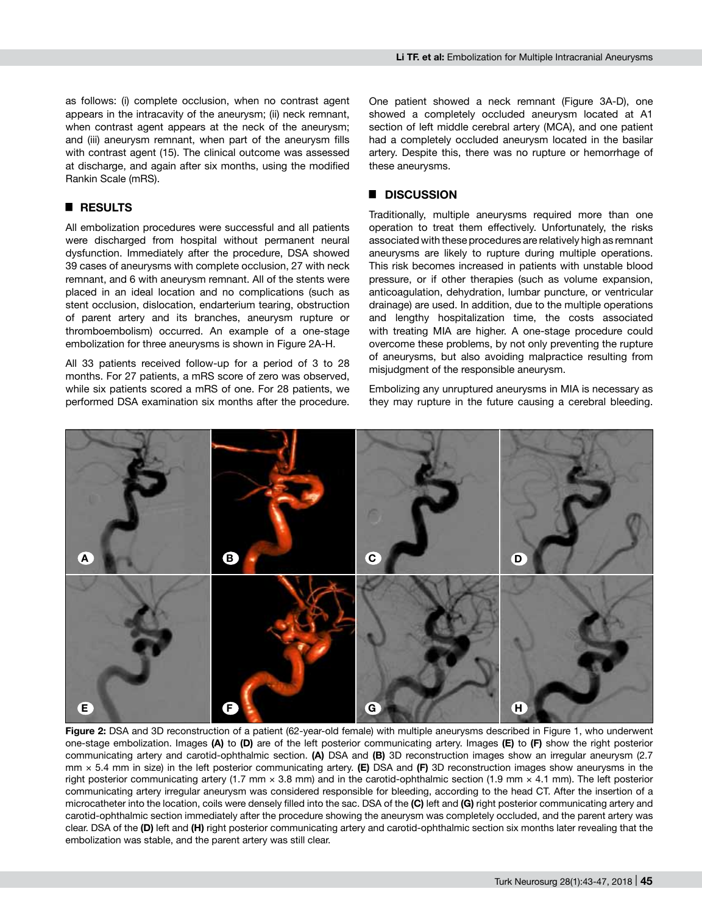as follows: (i) complete occlusion, when no contrast agent appears in the intracavity of the aneurysm; (ii) neck remnant, when contrast agent appears at the neck of the aneurysm; and (iii) aneurysm remnant, when part of the aneurysm fills with contrast agent (15). The clinical outcome was assessed at discharge, and again after six months, using the modified Rankin Scale (mRS).

## █ **Results**

All embolization procedures were successful and all patients were discharged from hospital without permanent neural dysfunction. Immediately after the procedure, DSA showed 39 cases of aneurysms with complete occlusion, 27 with neck remnant, and 6 with aneurysm remnant. All of the stents were placed in an ideal location and no complications (such as stent occlusion, dislocation, endarterium tearing, obstruction of parent artery and its branches, aneurysm rupture or thromboembolism) occurred. An example of a one-stage embolization for three aneurysms is shown in Figure 2a-h.

All 33 patients received follow-up for a period of 3 to 28 months. For 27 patients, a mRS score of zero was observed, while six patients scored a mRS of one. For 28 patients, we performed DSA examination six months after the procedure.

One patient showed a neck remnant (Figure 3A-D), one showed a completely occluded aneurysm located at A1 section of left middle cerebral artery (MCA), and one patient had a completely occluded aneurysm located in the basilar artery. Despite this, there was no rupture or hemorrhage of these aneurysms.

## █ **Discussion**

Traditionally, multiple aneurysms required more than one operation to treat them effectively. Unfortunately, the risks associated with these procedures are relatively high as remnant aneurysms are likely to rupture during multiple operations. This risk becomes increased in patients with unstable blood pressure, or if other therapies (such as volume expansion, anticoagulation, dehydration, lumbar puncture, or ventricular drainage) are used. In addition, due to the multiple operations and lengthy hospitalization time, the costs associated with treating MIA are higher. A one-stage procedure could overcome these problems, by not only preventing the rupture of aneurysms, but also avoiding malpractice resulting from misjudgment of the responsible aneurysm.

Embolizing any unruptured aneurysms in MIA is necessary as they may rupture in the future causing a cerebral bleeding.



**Figure 2:** DSA and 3D reconstruction of a patient (62-year-old female) with multiple aneurysms described in Figure 1, who underwent one-stage embolization. Images **(a)** to **(d)** are of the left posterior communicating artery. Images **(e)** to **(f)** show the right posterior communicating artery and carotid-ophthalmic section. **(a)** DSA and **(b)** 3D reconstruction images show an irregular aneurysm (2.7 mm × 5.4 mm in size) in the left posterior communicating artery. **(e)** DSA and **(f)** 3D reconstruction images show aneurysms in the right posterior communicating artery (1.7 mm  $\times$  3.8 mm) and in the carotid-ophthalmic section (1.9 mm  $\times$  4.1 mm). The left posterior communicating artery irregular aneurysm was considered responsible for bleeding, according to the head CT. After the insertion of a microcatheter into the location, coils were densely filled into the sac. DSA of the **(c)** left and **(g)** right posterior communicating artery and carotid-ophthalmic section immediately after the procedure showing the aneurysm was completely occluded, and the parent artery was clear. DSA of the **(d)** left and **(h)** right posterior communicating artery and carotid-ophthalmic section six months later revealing that the embolization was stable, and the parent artery was still clear.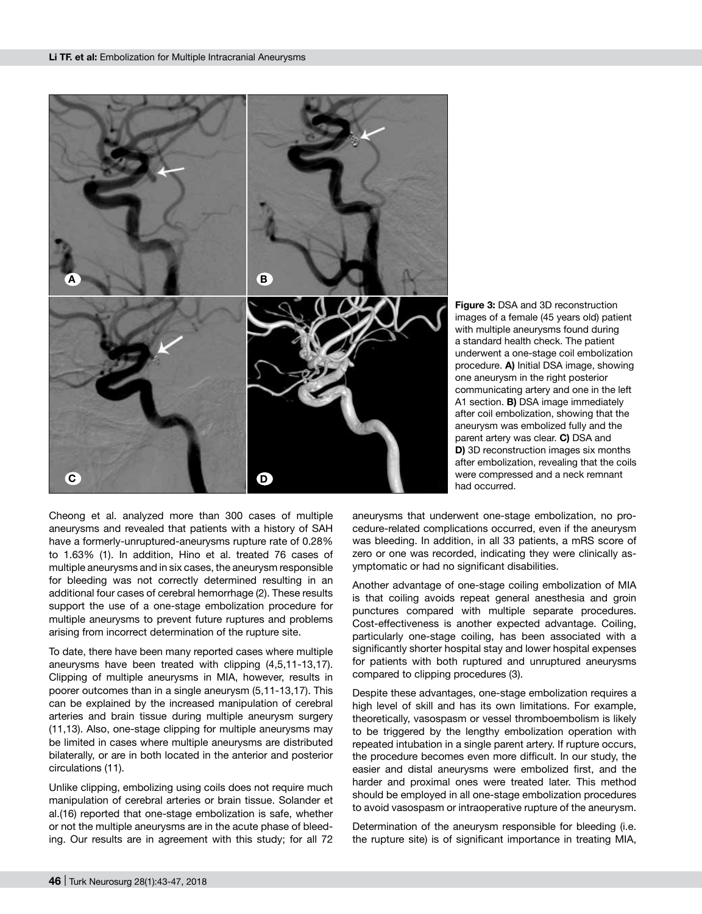

**Figure 3:** DSA and 3D reconstruction images of a female (45 years old) patient with multiple aneurysms found during a standard health check. The patient underwent a one-stage coil embolization procedure. **a)** Initial DSA image, showing one aneurysm in the right posterior communicating artery and one in the left A1 section. **b)** DSA image immediately after coil embolization, showing that the aneurysm was embolized fully and the parent artery was clear. **c)** DSA and **D)** 3D reconstruction images six months after embolization, revealing that the coils were compressed and a neck remnant had occurred.

Cheong et al. analyzed more than 300 cases of multiple aneurysms and revealed that patients with a history of SAH have a formerly-unruptured-aneurysms rupture rate of 0.28% to 1.63% (1). In addition, Hino et al. treated 76 cases of multiple aneurysms and in six cases, the aneurysm responsible for bleeding was not correctly determined resulting in an additional four cases of cerebral hemorrhage (2). These results support the use of a one-stage embolization procedure for multiple aneurysms to prevent future ruptures and problems arising from incorrect determination of the rupture site.

To date, there have been many reported cases where multiple aneurysms have been treated with clipping (4,5,11-13,17). Clipping of multiple aneurysms in MIA, however, results in poorer outcomes than in a single aneurysm (5,11-13,17). This can be explained by the increased manipulation of cerebral arteries and brain tissue during multiple aneurysm surgery (11,13). Also, one-stage clipping for multiple aneurysms may be limited in cases where multiple aneurysms are distributed bilaterally, or are in both located in the anterior and posterior circulations (11).

Unlike clipping, embolizing using coils does not require much manipulation of cerebral arteries or brain tissue. Solander et al.(16) reported that one-stage embolization is safe, whether or not the multiple aneurysms are in the acute phase of bleeding. Our results are in agreement with this study; for all 72

aneurysms that underwent one-stage embolization, no procedure-related complications occurred, even if the aneurysm was bleeding. In addition, in all 33 patients, a mRS score of zero or one was recorded, indicating they were clinically asymptomatic or had no significant disabilities.

Another advantage of one-stage coiling embolization of MIA is that coiling avoids repeat general anesthesia and groin punctures compared with multiple separate procedures. Cost-effectiveness is another expected advantage. Coiling, particularly one-stage coiling, has been associated with a significantly shorter hospital stay and lower hospital expenses for patients with both ruptured and unruptured aneurysms compared to clipping procedures (3).

Despite these advantages, one-stage embolization requires a high level of skill and has its own limitations. For example, theoretically, vasospasm or vessel thromboembolism is likely to be triggered by the lengthy embolization operation with repeated intubation in a single parent artery. If rupture occurs, the procedure becomes even more difficult. In our study, the easier and distal aneurysms were embolized first, and the harder and proximal ones were treated later. This method should be employed in all one-stage embolization procedures to avoid vasospasm or intraoperative rupture of the aneurysm.

Determination of the aneurysm responsible for bleeding (i.e. the rupture site) is of significant importance in treating MIA,